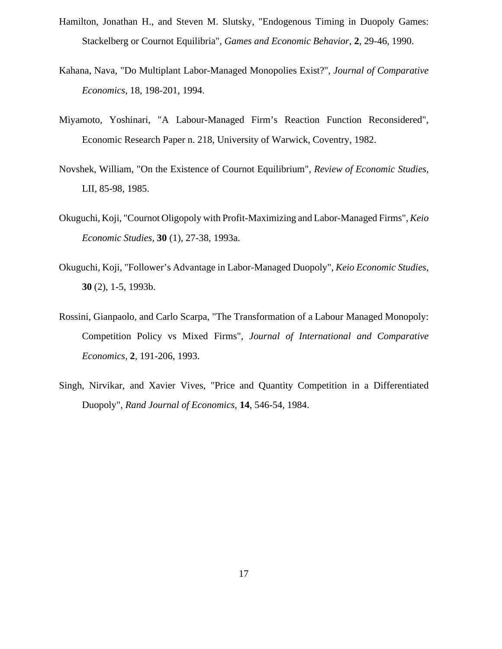- Hamilton, Jonathan H., and Steven M. Slutsky, "Endogenous Timing in Duopoly Games: Stackelberg or Cournot Equilibria", *Games and Economic Behavior*, **2**, 29-46, 1990.
- Kahana, Nava, "Do Multiplant Labor-Managed Monopolies Exist?", *Journal of Comparative Economics*, 18, 198-201, 1994.
- Miyamoto, Yoshinari, "A Labour-Managed Firm's Reaction Function Reconsidered", Economic Research Paper n. 218, University of Warwick, Coventry, 1982.
- Novshek, William, "On the Existence of Cournot Equilibrium", *Review of Economic Studies*, LII, 85-98, 1985.
- Okuguchi, Koji, "Cournot Oligopoly with Profit-Maximizing and Labor-Managed Firms", *Keio Economic Studies*, **30** (1), 27-38, 1993a.
- Okuguchi, Koji, "Follower's Advantage in Labor-Managed Duopoly", *Keio Economic Studies*, **30** (2), 1-5, 1993b.
- Rossini, Gianpaolo, and Carlo Scarpa, "The Transformation of a Labour Managed Monopoly: Competition Policy vs Mixed Firms", *Journal of International and Comparative Economics*, **2**, 191-206, 1993.
- Singh, Nirvikar, and Xavier Vives, "Price and Quantity Competition in a Differentiated Duopoly", *Rand Journal of Economics*, **14**, 546-54, 1984.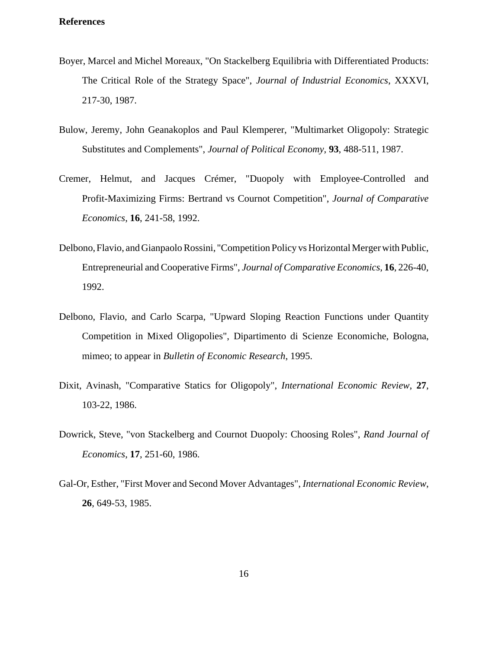#### **References**

- Boyer, Marcel and Michel Moreaux, "On Stackelberg Equilibria with Differentiated Products: The Critical Role of the Strategy Space", *Journal of Industrial Economics*, XXXVI, 217-30, 1987.
- Bulow, Jeremy, John Geanakoplos and Paul Klemperer, "Multimarket Oligopoly: Strategic Substitutes and Complements", *Journal of Political Economy*, **93**, 488-511, 1987.
- Cremer, Helmut, and Jacques Crémer, "Duopoly with Employee-Controlled and Profit-Maximizing Firms: Bertrand vs Cournot Competition", *Journal of Comparative Economics*, **16**, 241-58, 1992.
- Delbono, Flavio, and Gianpaolo Rossini, "Competition Policy vs Horizontal Merger with Public, Entrepreneurial and Cooperative Firms", *Journal of Comparative Economics*, **16**, 226-40, 1992.
- Delbono, Flavio, and Carlo Scarpa, "Upward Sloping Reaction Functions under Quantity Competition in Mixed Oligopolies", Dipartimento di Scienze Economiche, Bologna, mimeo; to appear in *Bulletin of Economic Research*, 1995.
- Dixit, Avinash, "Comparative Statics for Oligopoly", *International Economic Review*, **27**, 103-22, 1986.
- Dowrick, Steve, "von Stackelberg and Cournot Duopoly: Choosing Roles", *Rand Journal of Economics*, **17**, 251-60, 1986.
- Gal-Or, Esther, "First Mover and Second Mover Advantages", *International Economic Review*, **26**, 649-53, 1985.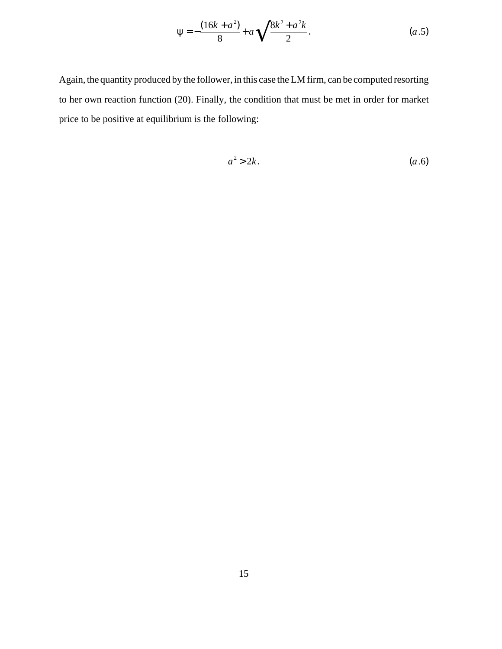$$
\Psi = -\frac{(16k + a^2)}{8} + a\sqrt{\frac{8k^2 + a^2k}{2}}.
$$
 (a.5)

Again, the quantity produced by the follower, in this case the LM firm, can be computed resorting to her own reaction function (20). Finally, the condition that must be met in order for market price to be positive at equilibrium is the following:

$$
a^2 > 2k.\tag{a.6}
$$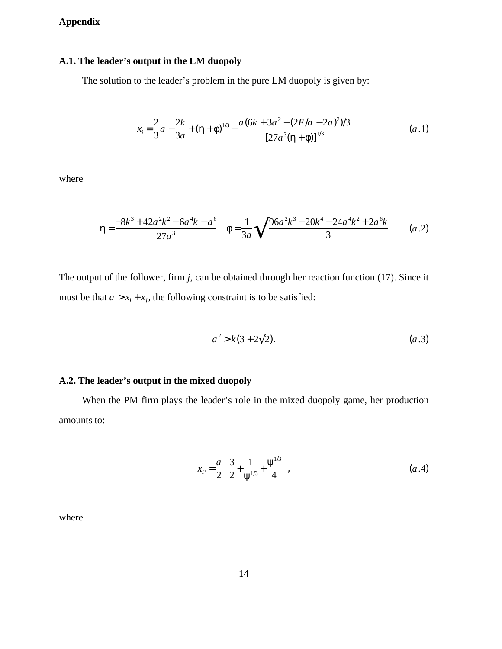# **Appendix**

# **A.1. The leader's output in the LM duopoly**

The solution to the leader's problem in the pure LM duopoly is given by:

$$
x_i = \frac{2}{3}a - \frac{2k}{3a} + (\eta + \phi)^{1/3} - \frac{a(6k + 3a^2 - (2F/a - 2a)^2)/3}{[27a^3(\eta + \phi)]^{1/3}}
$$
(a.1)

where

$$
\eta = \frac{-8k^3 + 42a^2k^2 - 6a^4k - a^6}{27a^3} \quad \phi = \frac{1}{3a} \sqrt{\frac{96a^2k^3 - 20k^4 - 24a^4k^2 + 2a^6k}{3}} \qquad (a.2)
$$

The output of the follower, firm *j*, can be obtained through her reaction function (17). Since it must be that  $a > x_i + x_j$ , the following constraint is to be satisfied:

$$
a^2 > k(3 + 2\sqrt{2}).\tag{a.3}
$$

# **A.2. The leader's output in the mixed duopoly**

When the PM firm plays the leader's role in the mixed duopoly game, her production amounts to:

$$
x_P = \frac{a}{2} \left( \frac{3}{2} + \frac{1}{\Psi^{1/3}} + \frac{\Psi^{1/3}}{4} \right),
$$
 (a.4)

where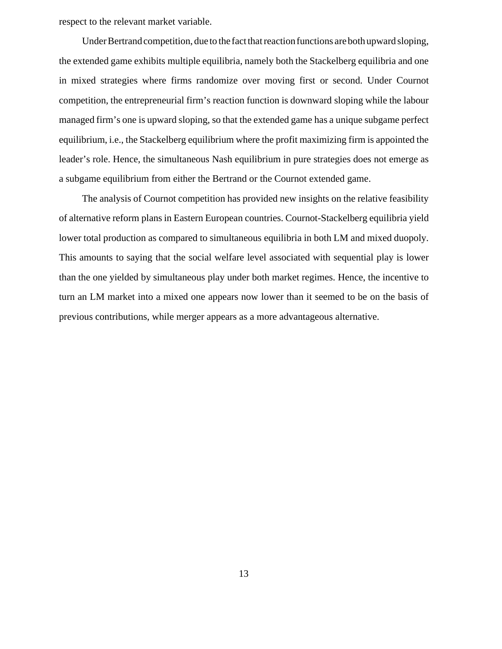respect to the relevant market variable.

Under Bertrand competition, due to the fact that reaction functions are both upward sloping, the extended game exhibits multiple equilibria, namely both the Stackelberg equilibria and one in mixed strategies where firms randomize over moving first or second. Under Cournot competition, the entrepreneurial firm's reaction function is downward sloping while the labour managed firm's one is upward sloping, so that the extended game has a unique subgame perfect equilibrium, i.e., the Stackelberg equilibrium where the profit maximizing firm is appointed the leader's role. Hence, the simultaneous Nash equilibrium in pure strategies does not emerge as a subgame equilibrium from either the Bertrand or the Cournot extended game.

The analysis of Cournot competition has provided new insights on the relative feasibility of alternative reform plans in Eastern European countries. Cournot-Stackelberg equilibria yield lower total production as compared to simultaneous equilibria in both LM and mixed duopoly. This amounts to saying that the social welfare level associated with sequential play is lower than the one yielded by simultaneous play under both market regimes. Hence, the incentive to turn an LM market into a mixed one appears now lower than it seemed to be on the basis of previous contributions, while merger appears as a more advantageous alternative.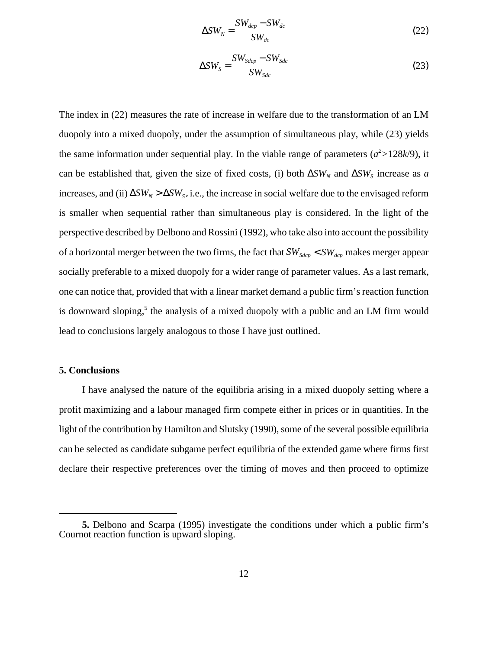$$
\Delta SW_N = \frac{SW_{dep} - SW_{dc}}{SW_{dc}}
$$
\n(22)

$$
\Delta SW_S = \frac{SW_{Sdep} - SW_{Sdc}}{SW_{Sdc}}
$$
\n(23)

The index in (22) measures the rate of increase in welfare due to the transformation of an LM duopoly into a mixed duopoly, under the assumption of simultaneous play, while (23) yields the same information under sequential play. In the viable range of parameters  $(a^2 > 128k/9)$ , it can be established that, given the size of fixed costs, (i) both  $\Delta SW_N$  and  $\Delta SW_S$  increase as *a*  $i$ ncreases, and  $(ii)$  ∆*SW<sub>N</sub>* > ∆*SW<sub>s</sub>*, i.e., the increase in social welfare due to the envisaged reform is smaller when sequential rather than simultaneous play is considered. In the light of the perspective described by Delbono and Rossini (1992), who take also into account the possibility of a horizontal merger between the two firms, the fact that  $SW_{Sdep} < SW_{dep}$  makes merger appear socially preferable to a mixed duopoly for a wider range of parameter values. As a last remark, one can notice that, provided that with a linear market demand a public firm's reaction function is downward sloping,<sup>5</sup> the analysis of a mixed duopoly with a public and an LM firm would lead to conclusions largely analogous to those I have just outlined.

#### **5. Conclusions**

I have analysed the nature of the equilibria arising in a mixed duopoly setting where a profit maximizing and a labour managed firm compete either in prices or in quantities. In the light of the contribution by Hamilton and Slutsky (1990), some of the several possible equilibria can be selected as candidate subgame perfect equilibria of the extended game where firms first declare their respective preferences over the timing of moves and then proceed to optimize

**<sup>5.</sup>** Delbono and Scarpa (1995) investigate the conditions under which a public firm's Cournot reaction function is upward sloping.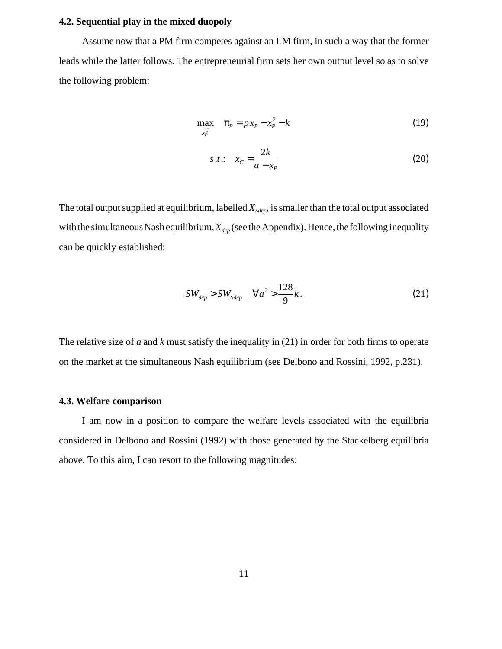### **4.2. Sequential play in the mixed duopoly**

Assume now that a PM firm competes against an LM firm, in such a way that the former leads while the latter follows. The entrepreneurial firm sets her own output level so as to solve the following problem:

$$
\max_{x_P^C} \quad \pi_P = p x_P - x_P^2 - k \tag{19}
$$

$$
s.t.: \quad x_C = \frac{2k}{a - x_P} \tag{20}
$$

The total output supplied at equilibrium, labelled  $X_{Sdcp}$ , is smaller than the total output associated with the simultaneous Nash equilibrium,  $X_{\text{dep}}$  (see the Appendix). Hence, the following inequality can be quickly established:

$$
SW_{\text{dcp}} > SW_{\text{Sdcp}} \quad \forall a^2 > \frac{128}{9}k. \tag{21}
$$

The relative size of *a* and *k* must satisfy the inequality in (21) in order for both firms to operate on the market at the simultaneous Nash equilibrium (see Delbono and Rossini, 1992, p.231).

### **4.3. Welfare comparison**

I am now in a position to compare the welfare levels associated with the equilibria considered in Delbono and Rossini (1992) with those generated by the Stackelberg equilibria above. To this aim, I can resort to the following magnitudes: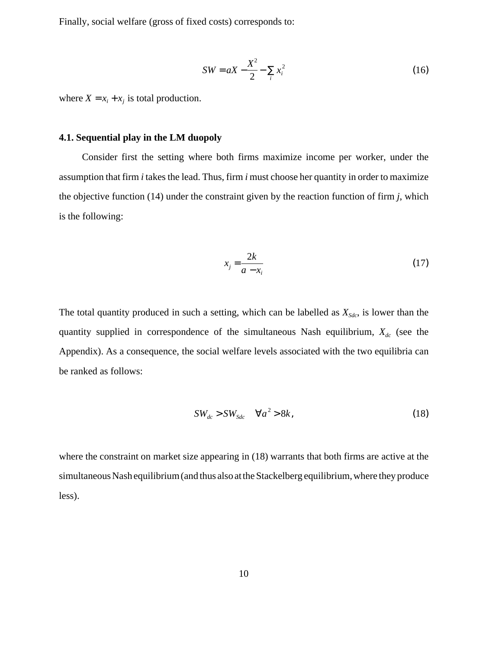Finally, social welfare (gross of fixed costs) corresponds to:

$$
SW = aX - \frac{X^2}{2} - \sum_{i} x_i^2
$$
 (16)

where  $X = x_i + x_j$  is total production.

### **4.1. Sequential play in the LM duopoly**

Consider first the setting where both firms maximize income per worker, under the assumption that firm *i* takes the lead. Thus, firm *i* must choose her quantity in order to maximize the objective function (14) under the constraint given by the reaction function of firm *j*, which is the following:

$$
x_j = \frac{2k}{a - x_i} \tag{17}
$$

The total quantity produced in such a setting, which can be labelled as  $X_{Sdc}$ , is lower than the quantity supplied in correspondence of the simultaneous Nash equilibrium,  $X_{dc}$  (see the Appendix). As a consequence, the social welfare levels associated with the two equilibria can be ranked as follows:

$$
SW_{dc} > SW_{Sdc} \quad \forall a^2 > 8k,
$$
\n(18)

where the constraint on market size appearing in (18) warrants that both firms are active at the simultaneous Nash equilibrium (and thus also at the Stackelberg equilibrium, where they produce less).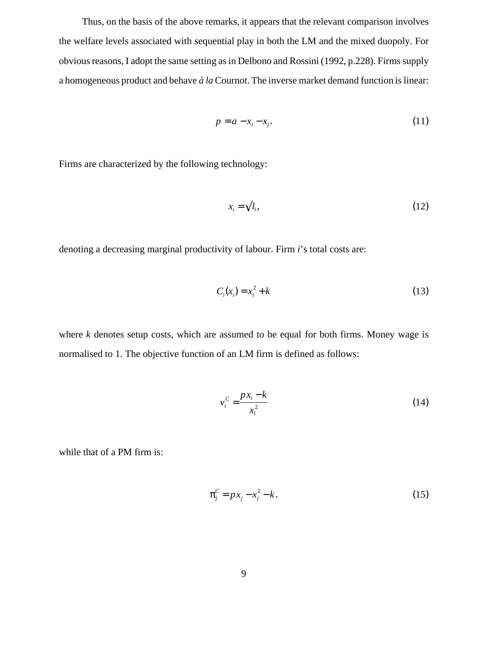Thus, on the basis of the above remarks, it appears that the relevant comparison involves the welfare levels associated with sequential play in both the LM and the mixed duopoly. For obvious reasons, I adopt the same setting as in Delbono and Rossini (1992, p.228). Firms supply a homogeneous product and behave *à la* Cournot. The inverse market demand function is linear:

$$
p = a - x_i - x_j. \tag{11}
$$

Firms are characterized by the following technology:

$$
x_i = \sqrt{l_i},\tag{12}
$$

denoting a decreasing marginal productivity of labour. Firm *i*'s total costs are:

$$
C_i(x_i) = x_i^2 + k \tag{13}
$$

where  $k$  denotes setup costs, which are assumed to be equal for both firms. Money wage is normalised to 1. The objective function of an LM firm is defined as follows:

$$
v_i^C = \frac{p x_i - k}{x_i^2} \tag{14}
$$

while that of a PM firm is:

$$
\pi_j^C = p x_j - x_j^2 - k. \tag{15}
$$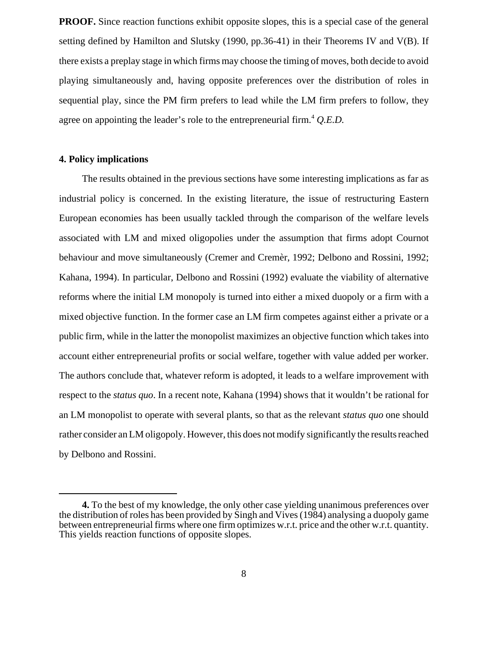**PROOF.** Since reaction functions exhibit opposite slopes, this is a special case of the general setting defined by Hamilton and Slutsky (1990, pp.36-41) in their Theorems IV and V(B). If there exists a preplay stage in which firms may choose the timing of moves, both decide to avoid playing simultaneously and, having opposite preferences over the distribution of roles in sequential play, since the PM firm prefers to lead while the LM firm prefers to follow, they agree on appointing the leader's role to the entrepreneurial firm.<sup>4</sup> *O.E.D.* 

#### **4. Policy implications**

The results obtained in the previous sections have some interesting implications as far as industrial policy is concerned. In the existing literature, the issue of restructuring Eastern European economies has been usually tackled through the comparison of the welfare levels associated with LM and mixed oligopolies under the assumption that firms adopt Cournot behaviour and move simultaneously (Cremer and Cremèr, 1992; Delbono and Rossini, 1992; Kahana, 1994). In particular, Delbono and Rossini (1992) evaluate the viability of alternative reforms where the initial LM monopoly is turned into either a mixed duopoly or a firm with a mixed objective function. In the former case an LM firm competes against either a private or a public firm, while in the latter the monopolist maximizes an objective function which takes into account either entrepreneurial profits or social welfare, together with value added per worker. The authors conclude that, whatever reform is adopted, it leads to a welfare improvement with respect to the *status quo*. In a recent note, Kahana (1994) shows that it wouldn't be rational for an LM monopolist to operate with several plants, so that as the relevant *status quo* one should rather consider an LM oligopoly. However, this does not modify significantly the results reached by Delbono and Rossini.

**<sup>4.</sup>** To the best of my knowledge, the only other case yielding unanimous preferences over the distribution of roles has been provided by Singh and Vives (1984) analysing a duopoly game between entrepreneurial firms where one firm optimizes w.r.t. price and the other w.r.t. quantity. This yields reaction functions of opposite slopes.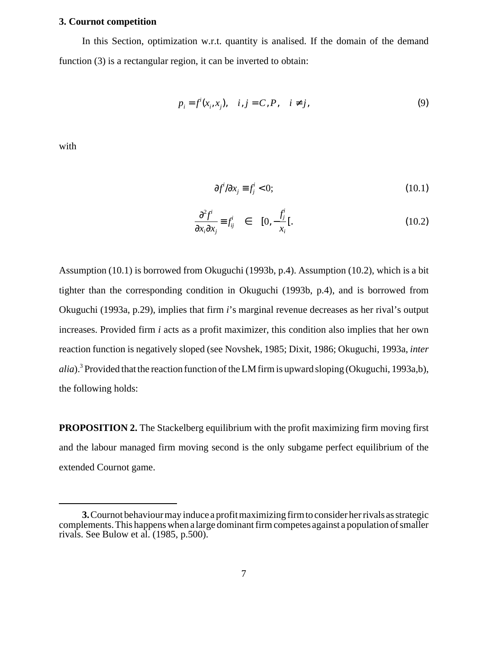#### **3. Cournot competition**

In this Section, optimization w.r.t. quantity is analised. If the domain of the demand function (3) is a rectangular region, it can be inverted to obtain:

$$
p_i = f^i(x_i, x_j), \quad i, j = C, P, \quad i \neq j,
$$
\n
$$
(9)
$$

with

$$
\partial f^i / \partial x_j \equiv f_j^i < 0; \tag{10.1}
$$

$$
\frac{\partial^2 f^i}{\partial x_i \partial x_j} \equiv f_{ij}^i \quad \in \quad [0, -\frac{f_j^i}{x_i}]. \tag{10.2}
$$

Assumption (10.1) is borrowed from Okuguchi (1993b, p.4). Assumption (10.2), which is a bit tighter than the corresponding condition in Okuguchi (1993b, p.4), and is borrowed from Okuguchi (1993a, p.29), implies that firm *i*'s marginal revenue decreases as her rival's output increases. Provided firm *i* acts as a profit maximizer, this condition also implies that her own reaction function is negatively sloped (see Novshek, 1985; Dixit, 1986; Okuguchi, 1993a, *inter alia*).3 Provided that the reaction function of the LM firm is upward sloping (Okuguchi, 1993a,b), the following holds:

**PROPOSITION 2.** The Stackelberg equilibrium with the profit maximizing firm moving first and the labour managed firm moving second is the only subgame perfect equilibrium of the extended Cournot game.

**<sup>3.</sup>** Cournot behaviour may induce a profit maximizing firm to consider her rivals as strategic complements. This happens when a large dominant firm competes against a population of smaller rivals. See Bulow et al. (1985, p.500).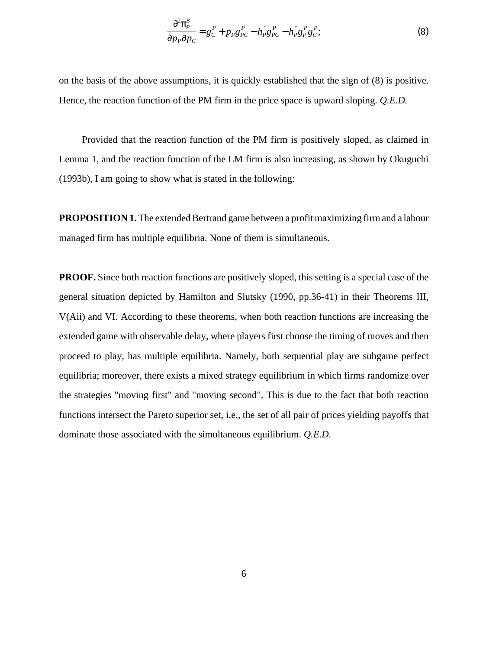$$
\frac{\partial^2 \pi_P^B}{\partial p_P \partial p_C} = g_C^P + p_P g_{PC}^P - h_P g_{PC}^P - h_P g_P^P g_C^P; \tag{8}
$$

on the basis of the above assumptions, it is quickly established that the sign of (8) is positive. Hence, the reaction function of the PM firm in the price space is upward sloping. *Q.E.D.*

Provided that the reaction function of the PM firm is positively sloped, as claimed in Lemma 1, and the reaction function of the LM firm is also increasing, as shown by Okuguchi (1993b), I am going to show what is stated in the following:

**PROPOSITION 1.**The extended Bertrand game between a profit maximizing firm and a labour managed firm has multiple equilibria. None of them is simultaneous.

**PROOF.** Since both reaction functions are positively sloped, this setting is a special case of the general situation depicted by Hamilton and Slutsky (1990, pp.36-41) in their Theorems III, V(Aii) and VI. According to these theorems, when both reaction functions are increasing the extended game with observable delay, where players first choose the timing of moves and then proceed to play, has multiple equilibria. Namely, both sequential play are subgame perfect equilibria; moreover, there exists a mixed strategy equilibrium in which firms randomize over the strategies "moving first" and "moving second". This is due to the fact that both reaction functions intersect the Pareto superior set, i.e., the set of all pair of prices yielding payoffs that dominate those associated with the simultaneous equilibrium. *Q.E.D.*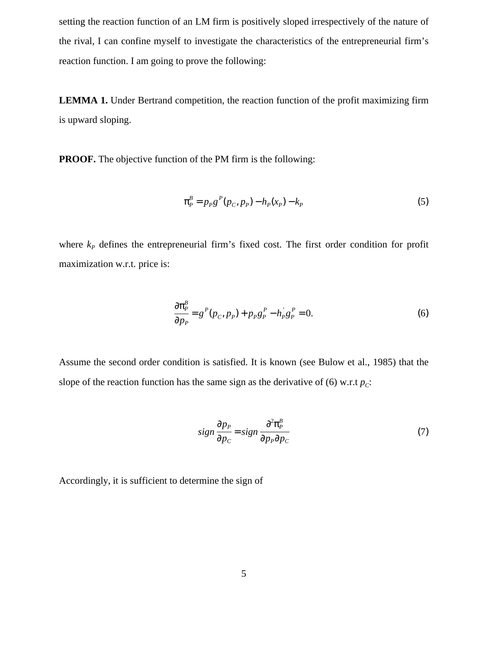setting the reaction function of an LM firm is positively sloped irrespectively of the nature of the rival, I can confine myself to investigate the characteristics of the entrepreneurial firm's reaction function. I am going to prove the following:

**LEMMA 1.** Under Bertrand competition, the reaction function of the profit maximizing firm is upward sloping.

**PROOF.** The objective function of the PM firm is the following:

$$
\pi_P^B = p_P g^P(p_C, p_P) - h_P(x_P) - k_P \tag{5}
$$

where  $k_p$  defines the entrepreneurial firm's fixed cost. The first order condition for profit maximization w.r.t. price is:

$$
\frac{\partial \pi_P^B}{\partial p_P} = g^P(p_C, p_P) + p_P g_P^P - h_P^j g_P^P = 0.
$$
\n(6)

Assume the second order condition is satisfied. It is known (see Bulow et al., 1985) that the slope of the reaction function has the same sign as the derivative of (6) w.r.t  $p_c$ :

$$
sign \frac{\partial p_P}{\partial p_C} = sign \frac{\partial^2 \pi_P^B}{\partial p_P \partial p_C}
$$
 (7)

Accordingly, it is sufficient to determine the sign of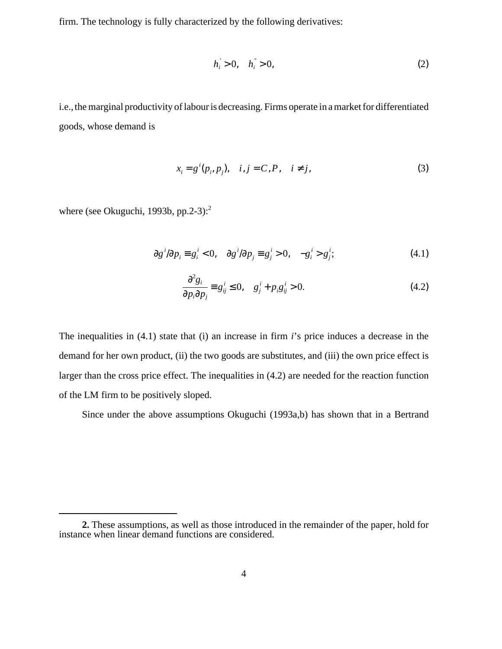firm. The technology is fully characterized by the following derivatives:

$$
h_i > 0, \quad h_i^{\dagger} > 0,\tag{2}
$$

i.e., the marginal productivity of labour is decreasing. Firms operate in a market for differentiated goods, whose demand is

$$
x_i = g^i(p_i, p_j), \quad i, j = C, P, \quad i \neq j,
$$
\n
$$
(3)
$$

where (see Okuguchi, 1993b, pp.2-3): $2^2$ 

$$
\partial g^i/\partial p_i \equiv g_i^i < 0, \quad \partial g^i/\partial p_j \equiv g_j^i > 0, \quad -g_i^i > g_j^i; \tag{4.1}
$$

$$
\frac{\partial^2 g_i}{\partial p_i \partial p_j} = g_{ij}^i \le 0, \quad g_j^i + p_i g_{ij}^i > 0.
$$
 (4.2)

The inequalities in (4.1) state that (i) an increase in firm *i*'s price induces a decrease in the demand for her own product, (ii) the two goods are substitutes, and (iii) the own price effect is larger than the cross price effect. The inequalities in (4.2) are needed for the reaction function of the LM firm to be positively sloped.

Since under the above assumptions Okuguchi (1993a,b) has shown that in a Bertrand

**<sup>2.</sup>** These assumptions, as well as those introduced in the remainder of the paper, hold for instance when linear demand functions are considered.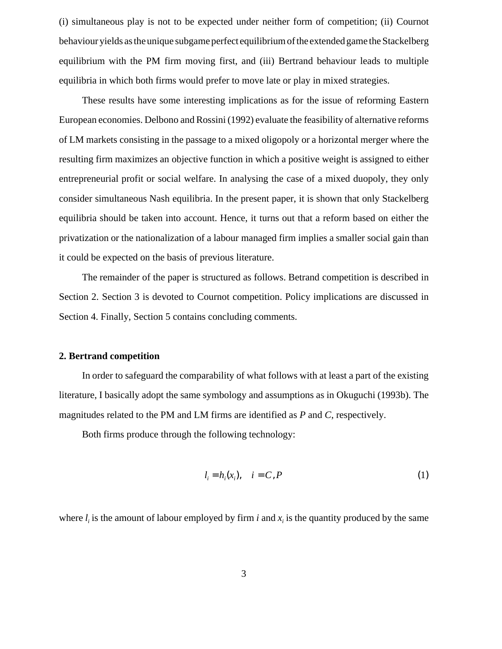(i) simultaneous play is not to be expected under neither form of competition; (ii) Cournot behaviour yields as the unique subgame perfect equilibrium of the extended game the Stackelberg equilibrium with the PM firm moving first, and (iii) Bertrand behaviour leads to multiple equilibria in which both firms would prefer to move late or play in mixed strategies.

These results have some interesting implications as for the issue of reforming Eastern European economies. Delbono and Rossini (1992) evaluate the feasibility of alternative reforms of LM markets consisting in the passage to a mixed oligopoly or a horizontal merger where the resulting firm maximizes an objective function in which a positive weight is assigned to either entrepreneurial profit or social welfare. In analysing the case of a mixed duopoly, they only consider simultaneous Nash equilibria. In the present paper, it is shown that only Stackelberg equilibria should be taken into account. Hence, it turns out that a reform based on either the privatization or the nationalization of a labour managed firm implies a smaller social gain than it could be expected on the basis of previous literature.

The remainder of the paper is structured as follows. Betrand competition is described in Section 2. Section 3 is devoted to Cournot competition. Policy implications are discussed in Section 4. Finally, Section 5 contains concluding comments.

## **2. Bertrand competition**

In order to safeguard the comparability of what follows with at least a part of the existing literature, I basically adopt the same symbology and assumptions as in Okuguchi (1993b). The magnitudes related to the PM and LM firms are identified as *P* and *C*, respectively.

Both firms produce through the following technology:

$$
l_i = h_i(x_i), \quad i = C, P
$$
\n<sup>(1)</sup>

where  $l_i$  is the amount of labour employed by firm *i* and  $x_i$  is the quantity produced by the same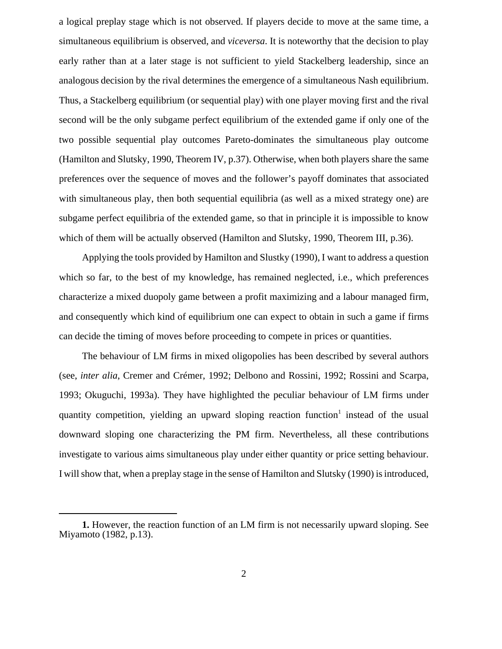a logical preplay stage which is not observed. If players decide to move at the same time, a simultaneous equilibrium is observed, and *viceversa*. It is noteworthy that the decision to play early rather than at a later stage is not sufficient to yield Stackelberg leadership, since an analogous decision by the rival determines the emergence of a simultaneous Nash equilibrium. Thus, a Stackelberg equilibrium (or sequential play) with one player moving first and the rival second will be the only subgame perfect equilibrium of the extended game if only one of the two possible sequential play outcomes Pareto-dominates the simultaneous play outcome (Hamilton and Slutsky, 1990, Theorem IV, p.37). Otherwise, when both players share the same preferences over the sequence of moves and the follower's payoff dominates that associated with simultaneous play, then both sequential equilibria (as well as a mixed strategy one) are subgame perfect equilibria of the extended game, so that in principle it is impossible to know which of them will be actually observed (Hamilton and Slutsky, 1990, Theorem III, p.36).

Applying the tools provided by Hamilton and Slustky (1990), I want to address a question which so far, to the best of my knowledge, has remained neglected, i.e., which preferences characterize a mixed duopoly game between a profit maximizing and a labour managed firm, and consequently which kind of equilibrium one can expect to obtain in such a game if firms can decide the timing of moves before proceeding to compete in prices or quantities.

The behaviour of LM firms in mixed oligopolies has been described by several authors (see, *inter alia*, Cremer and Crémer, 1992; Delbono and Rossini, 1992; Rossini and Scarpa, 1993; Okuguchi, 1993a). They have highlighted the peculiar behaviour of LM firms under quantity competition, yielding an upward sloping reaction function<sup>1</sup> instead of the usual downward sloping one characterizing the PM firm. Nevertheless, all these contributions investigate to various aims simultaneous play under either quantity or price setting behaviour. I will show that, when a preplay stage in the sense of Hamilton and Slutsky (1990) is introduced,

**<sup>1.</sup>** However, the reaction function of an LM firm is not necessarily upward sloping. See Miyamoto (1982, p.13).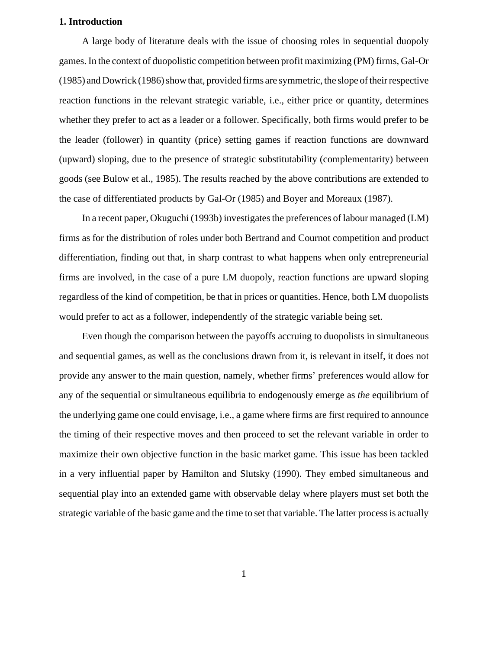### **1. Introduction**

A large body of literature deals with the issue of choosing roles in sequential duopoly games. In the context of duopolistic competition between profit maximizing (PM) firms, Gal-Or (1985) and Dowrick (1986) show that, provided firms are symmetric, the slope of their respective reaction functions in the relevant strategic variable, i.e., either price or quantity, determines whether they prefer to act as a leader or a follower. Specifically, both firms would prefer to be the leader (follower) in quantity (price) setting games if reaction functions are downward (upward) sloping, due to the presence of strategic substitutability (complementarity) between goods (see Bulow et al., 1985). The results reached by the above contributions are extended to the case of differentiated products by Gal-Or (1985) and Boyer and Moreaux (1987).

In a recent paper, Okuguchi (1993b) investigates the preferences of labour managed (LM) firms as for the distribution of roles under both Bertrand and Cournot competition and product differentiation, finding out that, in sharp contrast to what happens when only entrepreneurial firms are involved, in the case of a pure LM duopoly, reaction functions are upward sloping regardless of the kind of competition, be that in prices or quantities. Hence, both LM duopolists would prefer to act as a follower, independently of the strategic variable being set.

Even though the comparison between the payoffs accruing to duopolists in simultaneous and sequential games, as well as the conclusions drawn from it, is relevant in itself, it does not provide any answer to the main question, namely, whether firms' preferences would allow for any of the sequential or simultaneous equilibria to endogenously emerge as *the* equilibrium of the underlying game one could envisage, i.e., a game where firms are first required to announce the timing of their respective moves and then proceed to set the relevant variable in order to maximize their own objective function in the basic market game. This issue has been tackled in a very influential paper by Hamilton and Slutsky (1990). They embed simultaneous and sequential play into an extended game with observable delay where players must set both the strategic variable of the basic game and the time to set that variable. The latter process is actually